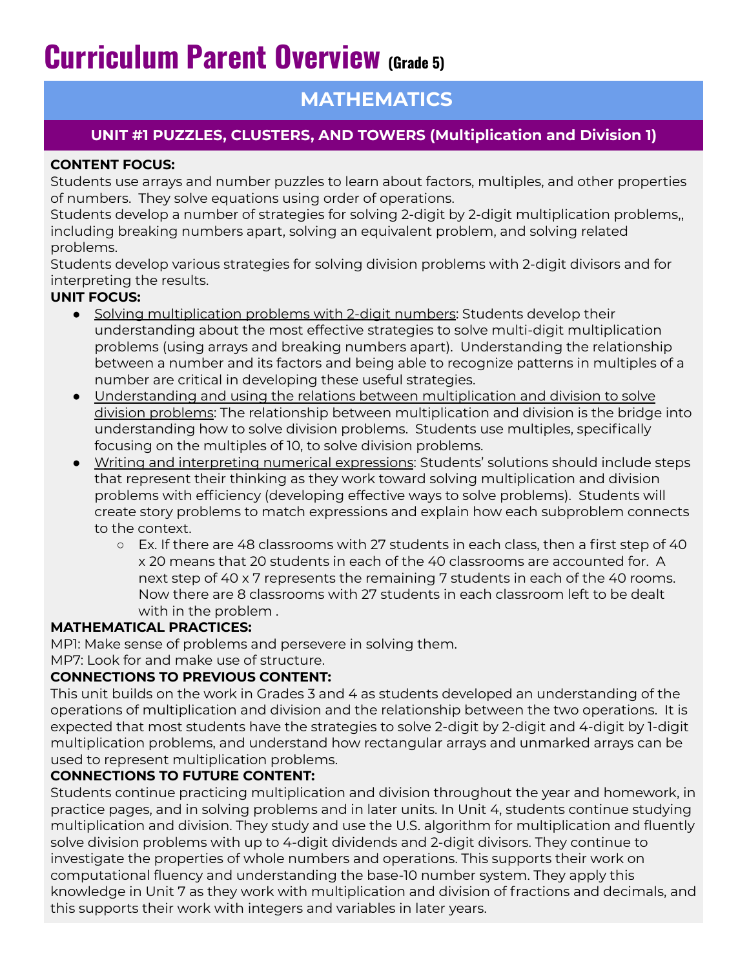# **Curriculum Parent Overview (Grade 5)**

## **MATHEMATICS**

## **UNIT #1 PUZZLES, CLUSTERS, AND TOWERS (Multiplication and Division 1)**

## **CONTENT FOCUS:**

Students use arrays and number puzzles to learn about factors, multiples, and other properties of numbers. They solve equations using order of operations.

Students develop a number of strategies for solving 2-digit by 2-digit multiplication problems,, including breaking numbers apart, solving an equivalent problem, and solving related problems.

Students develop various strategies for solving division problems with 2-digit divisors and for interpreting the results.

## **UNIT FOCUS:**

- Solving multiplication problems with 2-digit numbers: Students develop their understanding about the most effective strategies to solve multi-digit multiplication problems (using arrays and breaking numbers apart). Understanding the relationship between a number and its factors and being able to recognize patterns in multiples of a number are critical in developing these useful strategies.
- Understanding and using the relations between multiplication and division to solve division problems: The relationship between multiplication and division is the bridge into understanding how to solve division problems. Students use multiples, specifically focusing on the multiples of 10, to solve division problems.
- Writing and interpreting numerical expressions: Students' solutions should include steps that represent their thinking as they work toward solving multiplication and division problems with efficiency (developing effective ways to solve problems). Students will create story problems to match expressions and explain how each subproblem connects to the context.
	- Ex. If there are 48 classrooms with 27 students in each class, then a first step of 40 x 20 means that 20 students in each of the 40 classrooms are accounted for. A next step of 40 x 7 represents the remaining 7 students in each of the 40 rooms. Now there are 8 classrooms with 27 students in each classroom left to be dealt with in the problem .

## **MATHEMATICAL PRACTICES:**

MP1: Make sense of problems and persevere in solving them.

MP7: Look for and make use of structure.

## **CONNECTIONS TO PREVIOUS CONTENT:**

This unit builds on the work in Grades 3 and 4 as students developed an understanding of the operations of multiplication and division and the relationship between the two operations. It is expected that most students have the strategies to solve 2-digit by 2-digit and 4-digit by 1-digit multiplication problems, and understand how rectangular arrays and unmarked arrays can be used to represent multiplication problems.

## **CONNECTIONS TO FUTURE CONTENT:**

Students continue practicing multiplication and division throughout the year and homework, in practice pages, and in solving problems and in later units. In Unit 4, students continue studying multiplication and division. They study and use the U.S. algorithm for multiplication and fluently solve division problems with up to 4-digit dividends and 2-digit divisors. They continue to investigate the properties of whole numbers and operations. This supports their work on computational fluency and understanding the base-10 number system. They apply this knowledge in Unit 7 as they work with multiplication and division of fractions and decimals, and this supports their work with integers and variables in later years.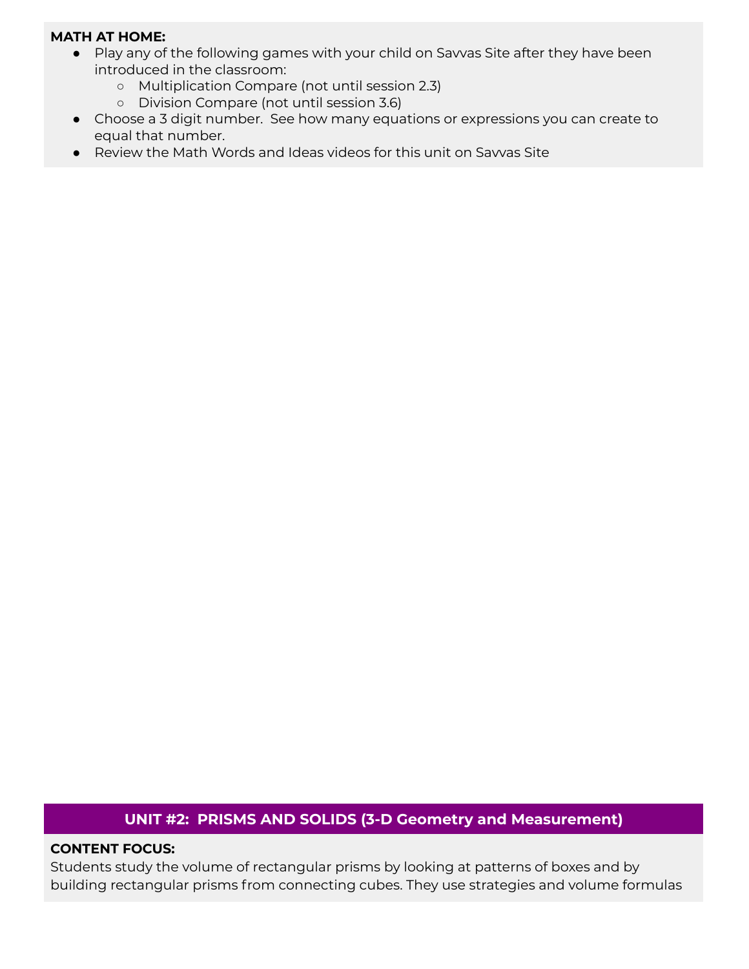#### **MATH AT HOME:**

- Play any of the following games with your child on Savvas Site after they have been introduced in the classroom:
	- Multiplication Compare (not until session 2.3)
	- Division Compare (not until session 3.6)
- Choose a 3 digit number. See how many equations or expressions you can create to equal that number.
- Review the Math Words and Ideas videos for this unit on Savvas Site

## **UNIT #2: PRISMS AND SOLIDS (3-D Geometry and Measurement)**

#### **CONTENT FOCUS:**

Students study the volume of rectangular prisms by looking at patterns of boxes and by building rectangular prisms from connecting cubes. They use strategies and volume formulas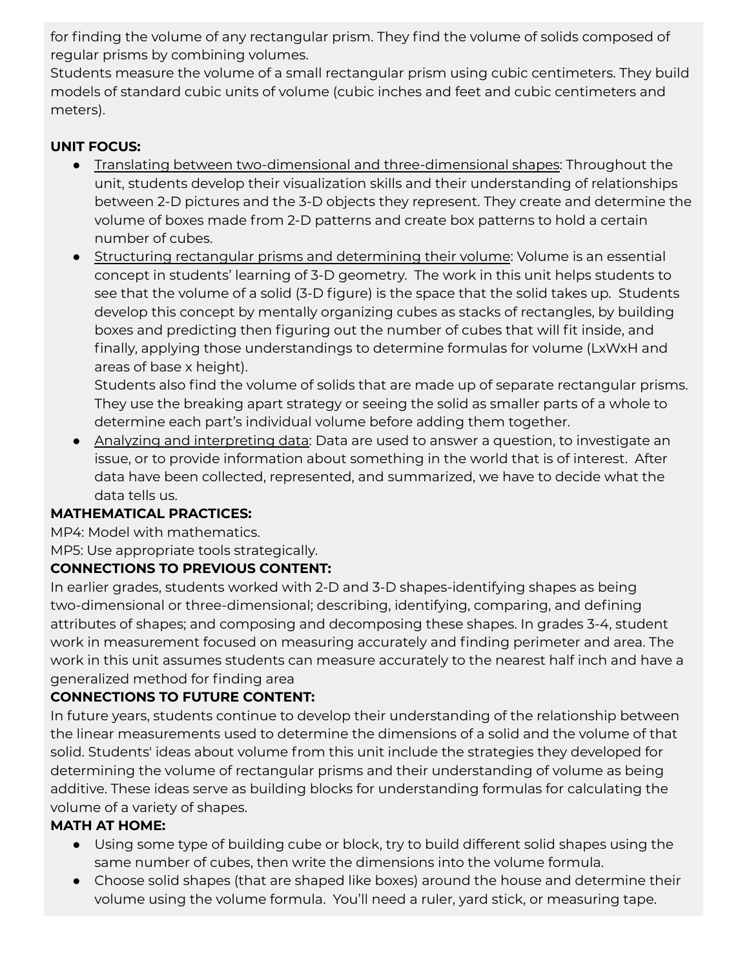for finding the volume of any rectangular prism. They find the volume of solids composed of regular prisms by combining volumes.

Students measure the volume of a small rectangular prism using cubic centimeters. They build models of standard cubic units of volume (cubic inches and feet and cubic centimeters and meters).

## **UNIT FOCUS:**

- Translating between two-dimensional and three-dimensional shapes: Throughout the unit, students develop their visualization skills and their understanding of relationships between 2-D pictures and the 3-D objects they represent. They create and determine the volume of boxes made from 2-D patterns and create box patterns to hold a certain number of cubes.
- Structuring rectangular prisms and determining their volume: Volume is an essential concept in students' learning of 3-D geometry. The work in this unit helps students to see that the volume of a solid (3-D figure) is the space that the solid takes up. Students develop this concept by mentally organizing cubes as stacks of rectangles, by building boxes and predicting then figuring out the number of cubes that will fit inside, and finally, applying those understandings to determine formulas for volume (LxWxH and areas of base x height).

Students also find the volume of solids that are made up of separate rectangular prisms. They use the breaking apart strategy or seeing the solid as smaller parts of a whole to determine each part's individual volume before adding them together.

● Analyzing and interpreting data: Data are used to answer a question, to investigate an issue, or to provide information about something in the world that is of interest. After data have been collected, represented, and summarized, we have to decide what the data tells us.

## **MATHEMATICAL PRACTICES:**

MP4: Model with mathematics.

MP5: Use appropriate tools strategically.

## **CONNECTIONS TO PREVIOUS CONTENT:**

In earlier grades, students worked with 2-D and 3-D shapes-identifying shapes as being two-dimensional or three-dimensional; describing, identifying, comparing, and defining attributes of shapes; and composing and decomposing these shapes. In grades 3-4, student work in measurement focused on measuring accurately and finding perimeter and area. The work in this unit assumes students can measure accurately to the nearest half inch and have a generalized method for finding area

## **CONNECTIONS TO FUTURE CONTENT:**

In future years, students continue to develop their understanding of the relationship between the linear measurements used to determine the dimensions of a solid and the volume of that solid. Students' ideas about volume from this unit include the strategies they developed for determining the volume of rectangular prisms and their understanding of volume as being additive. These ideas serve as building blocks for understanding formulas for calculating the volume of a variety of shapes.

## **MATH AT HOME:**

- Using some type of building cube or block, try to build different solid shapes using the same number of cubes, then write the dimensions into the volume formula.
- Choose solid shapes (that are shaped like boxes) around the house and determine their volume using the volume formula. You'll need a ruler, yard stick, or measuring tape.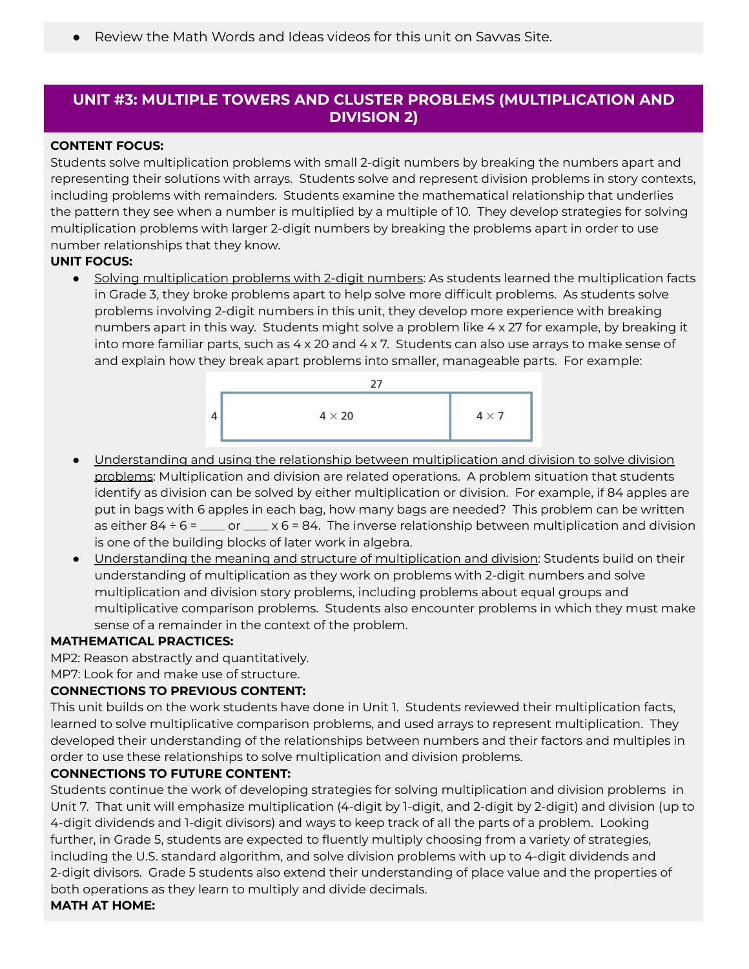Review the Math Words and Ideas videos for this unit on Savvas Site.

## **UNIT #3: MULTIPLE TOWERS AND CLUSTER PROBLEMS (MULTIPLICATION AND DIVISION 2)**

#### **CONTENT FOCUS:**

Students solve multiplication problems with small 2-digit numbers by breaking the numbers apart and representing their solutions with arrays. Students solve and represent division problems in story contexts, including problems with remainders. Students examine the mathematical relationship that underlies the pattern they see when a number is multiplied by a multiple of 10. They develop strategies for solving multiplication problems with larger 2-digit numbers by breaking the problems apart in order to use number relationships that they know.

#### **UNIT FOCUS:**

• Solving multiplication problems with 2-digit numbers: As students learned the multiplication facts in Grade 3, they broke problems apart to help solve more difficult problems. As students solve problems involving 2-digit numbers in this unit, they develop more experience with breaking numbers apart in this way. Students might solve a problem like 4 x 27 for example, by breaking it into more familiar parts, such as 4 x 20 and 4 x 7. Students can also use arrays to make sense of and explain how they break apart problems into smaller, manageable parts. For example:



- Understanding and using the relationship between multiplication and division to solve division problems: Multiplication and division are related operations. A problem situation that students identify as division can be solved by either multiplication or division. For example, if 84 apples are put in bags with 6 apples in each bag, how many bags are needed? This problem can be written as either  $84 \div 6 =$  \_\_\_\_ or \_\_\_\_ x 6 = 84. The inverse relationship between multiplication and division is one of the building blocks of later work in algebra.
- Understanding the meaning and structure of multiplication and division: Students build on their understanding of multiplication as they work on problems with 2-digit numbers and solve multiplication and division story problems, including problems about equal groups and multiplicative comparison problems. Students also encounter problems in which they must make sense of a remainder in the context of the problem.

#### **MATHEMATICAL PRACTICES:**

MP2: Reason abstractly and quantitatively.

MP7: Look for and make use of structure.

#### **CONNECTIONS TO PREVIOUS CONTENT:**

This unit builds on the work students have done in Unit 1. Students reviewed their multiplication facts, learned to solve multiplicative comparison problems, and used arrays to represent multiplication. They developed their understanding of the relationships between numbers and their factors and multiples in order to use these relationships to solve multiplication and division problems.

#### **CONNECTIONS TO FUTURE CONTENT:**

Students continue the work of developing strategies for solving multiplication and division problems in Unit 7. That unit will emphasize multiplication (4-digit by 1-digit, and 2-digit by 2-digit) and division (up to 4-digit dividends and 1-digit divisors) and ways to keep track of all the parts of a problem. Looking further, in Grade 5, students are expected to fluently multiply choosing from a variety of strategies, including the U.S. standard algorithm, and solve division problems with up to 4-digit dividends and 2-digit divisors. Grade 5 students also extend their understanding of place value and the properties of both operations as they learn to multiply and divide decimals.

#### **MATH AT HOME:**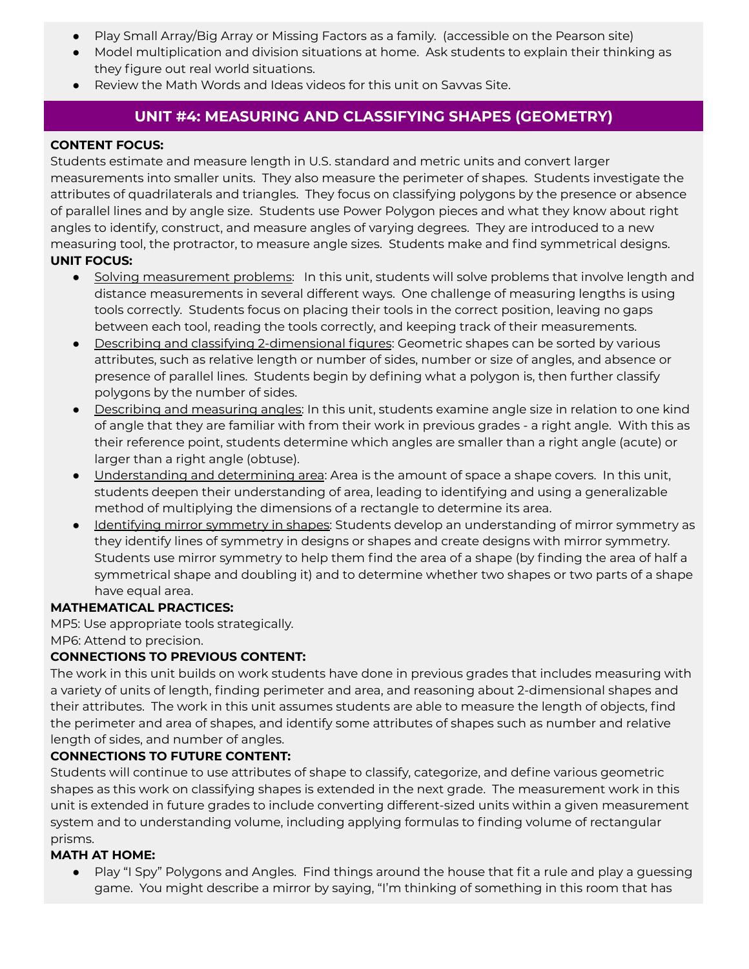- Play Small Array/Big Array or Missing Factors as a family. (accessible on the Pearson site)
- Model multiplication and division situations at home. Ask students to explain their thinking as they figure out real world situations.
- Review the Math Words and Ideas videos for this unit on Savvas Site.

## **UNIT #4: MEASURING AND CLASSIFYING SHAPES (GEOMETRY)**

#### **CONTENT FOCUS:**

Students estimate and measure length in U.S. standard and metric units and convert larger measurements into smaller units. They also measure the perimeter of shapes. Students investigate the attributes of quadrilaterals and triangles. They focus on classifying polygons by the presence or absence of parallel lines and by angle size. Students use Power Polygon pieces and what they know about right angles to identify, construct, and measure angles of varying degrees. They are introduced to a new measuring tool, the protractor, to measure angle sizes. Students make and find symmetrical designs. **UNIT FOCUS:**

- Solving measurement problems: In this unit, students will solve problems that involve length and distance measurements in several different ways. One challenge of measuring lengths is using tools correctly. Students focus on placing their tools in the correct position, leaving no gaps between each tool, reading the tools correctly, and keeping track of their measurements.
- Describing and classifying 2-dimensional figures: Geometric shapes can be sorted by various attributes, such as relative length or number of sides, number or size of angles, and absence or presence of parallel lines. Students begin by defining what a polygon is, then further classify polygons by the number of sides.
- Describing and measuring angles: In this unit, students examine angle size in relation to one kind of angle that they are familiar with from their work in previous grades - a right angle. With this as their reference point, students determine which angles are smaller than a right angle (acute) or larger than a right angle (obtuse).
- Understanding and determining area: Area is the amount of space a shape covers. In this unit, students deepen their understanding of area, leading to identifying and using a generalizable method of multiplying the dimensions of a rectangle to determine its area.
- Identifying mirror symmetry in shapes: Students develop an understanding of mirror symmetry as they identify lines of symmetry in designs or shapes and create designs with mirror symmetry. Students use mirror symmetry to help them find the area of a shape (by finding the area of half a symmetrical shape and doubling it) and to determine whether two shapes or two parts of a shape have equal area.

#### **MATHEMATICAL PRACTICES:**

MP5: Use appropriate tools strategically.

MP6: Attend to precision.

#### **CONNECTIONS TO PREVIOUS CONTENT:**

The work in this unit builds on work students have done in previous grades that includes measuring with a variety of units of length, finding perimeter and area, and reasoning about 2-dimensional shapes and their attributes. The work in this unit assumes students are able to measure the length of objects, find the perimeter and area of shapes, and identify some attributes of shapes such as number and relative length of sides, and number of angles.

#### **CONNECTIONS TO FUTURE CONTENT:**

Students will continue to use attributes of shape to classify, categorize, and define various geometric shapes as this work on classifying shapes is extended in the next grade. The measurement work in this unit is extended in future grades to include converting different-sized units within a given measurement system and to understanding volume, including applying formulas to finding volume of rectangular prisms.

#### **MATH AT HOME:**

● Play "I Spy" Polygons and Angles. Find things around the house that fit a rule and play a guessing game. You might describe a mirror by saying, "I'm thinking of something in this room that has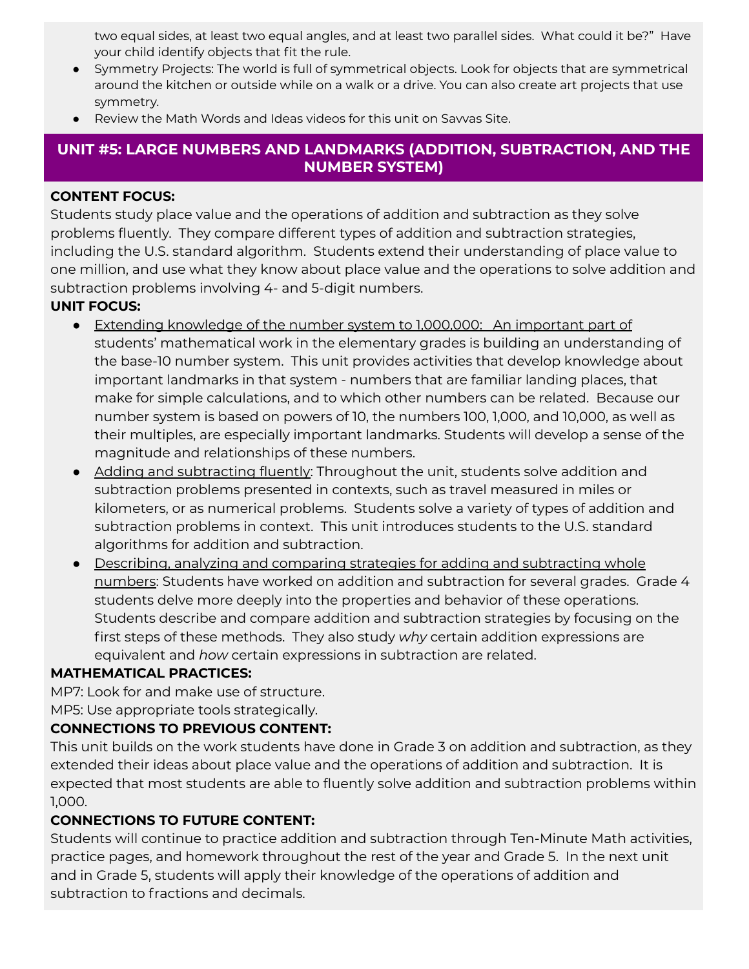two equal sides, at least two equal angles, and at least two parallel sides. What could it be?" Have your child identify objects that fit the rule.

- Symmetry Projects: The world is full of symmetrical objects. Look for objects that are symmetrical around the kitchen or outside while on a walk or a drive. You can also create art projects that use symmetry.
- Review the Math Words and Ideas videos for this unit on Savvas Site.

## **UNIT #5: LARGE NUMBERS AND LANDMARKS (ADDITION, SUBTRACTION, AND THE NUMBER SYSTEM)**

#### **CONTENT FOCUS:**

Students study place value and the operations of addition and subtraction as they solve problems fluently. They compare different types of addition and subtraction strategies, including the U.S. standard algorithm. Students extend their understanding of place value to one million, and use what they know about place value and the operations to solve addition and subtraction problems involving 4- and 5-digit numbers.

#### **UNIT FOCUS:**

- Extending knowledge of the number system to 1,000,000: An important part of students' mathematical work in the elementary grades is building an understanding of the base-10 number system. This unit provides activities that develop knowledge about important landmarks in that system - numbers that are familiar landing places, that make for simple calculations, and to which other numbers can be related. Because our number system is based on powers of 10, the numbers 100, 1,000, and 10,000, as well as their multiples, are especially important landmarks. Students will develop a sense of the magnitude and relationships of these numbers.
- Adding and subtracting fluently: Throughout the unit, students solve addition and subtraction problems presented in contexts, such as travel measured in miles or kilometers, or as numerical problems. Students solve a variety of types of addition and subtraction problems in context. This unit introduces students to the U.S. standard algorithms for addition and subtraction.
- Describing, analyzing and comparing strategies for adding and subtracting whole numbers: Students have worked on addition and subtraction for several grades. Grade 4 students delve more deeply into the properties and behavior of these operations. Students describe and compare addition and subtraction strategies by focusing on the first steps of these methods. They also study *why* certain addition expressions are equivalent and *how* certain expressions in subtraction are related.

#### **MATHEMATICAL PRACTICES:**

MP7: Look for and make use of structure.

MP5: Use appropriate tools strategically.

## **CONNECTIONS TO PREVIOUS CONTENT:**

This unit builds on the work students have done in Grade 3 on addition and subtraction, as they extended their ideas about place value and the operations of addition and subtraction. It is expected that most students are able to fluently solve addition and subtraction problems within 1,000.

## **CONNECTIONS TO FUTURE CONTENT:**

Students will continue to practice addition and subtraction through Ten-Minute Math activities, practice pages, and homework throughout the rest of the year and Grade 5. In the next unit and in Grade 5, students will apply their knowledge of the operations of addition and subtraction to fractions and decimals.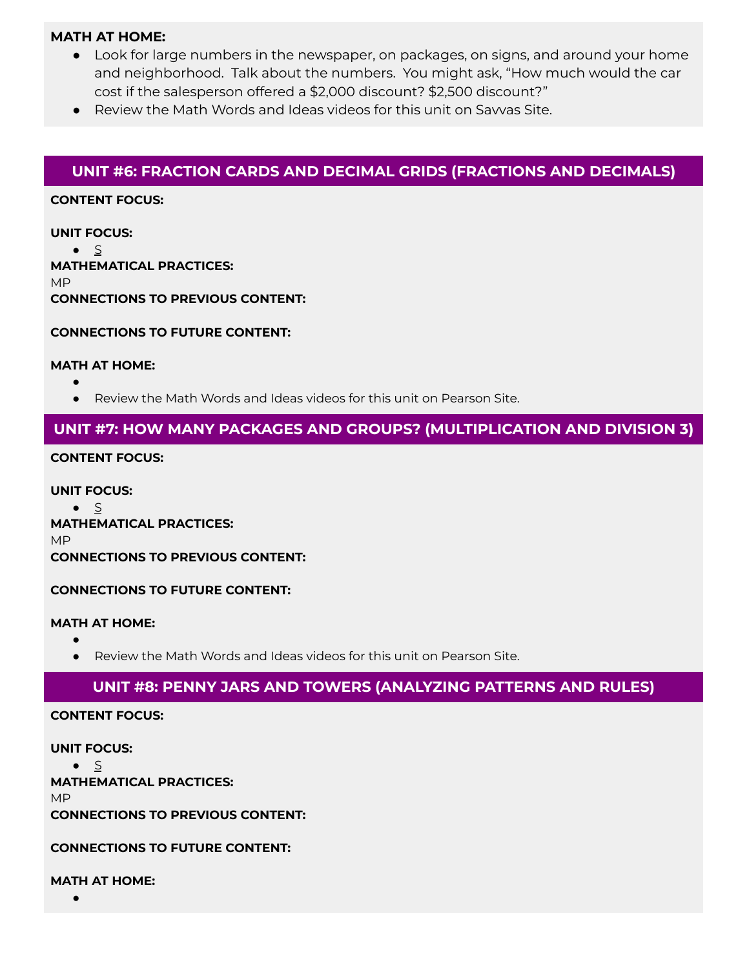#### **MATH AT HOME:**

- Look for large numbers in the newspaper, on packages, on signs, and around your home and neighborhood. Talk about the numbers. You might ask, "How much would the car cost if the salesperson offered a \$2,000 discount? \$2,500 discount?"
- Review the Math Words and Ideas videos for this unit on Savvas Site.

## **UNIT #6: FRACTION CARDS AND DECIMAL GRIDS (FRACTIONS AND DECIMALS)**

#### **CONTENT FOCUS:**

**UNIT FOCUS:**

 $\bullet$   $\leq$ **MATHEMATICAL PRACTICES:** MP **CONNECTIONS TO PREVIOUS CONTENT:**

**CONNECTIONS TO FUTURE CONTENT:**

#### **MATH AT HOME:**

- ●
- Review the Math Words and Ideas videos for this unit on Pearson Site.

## **UNIT #7: HOW MANY PACKAGES AND GROUPS? (MULTIPLICATION AND DIVISION 3)**

#### **CONTENT FOCUS:**

**UNIT FOCUS:**  $\bullet$  S **MATHEMATICAL PRACTICES:** MP **CONNECTIONS TO PREVIOUS CONTENT:**

#### **CONNECTIONS TO FUTURE CONTENT:**

#### **MATH AT HOME:**

● ● Review the Math Words and Ideas videos for this unit on Pearson Site.

#### **UNIT #8: PENNY JARS AND TOWERS (ANALYZING PATTERNS AND RULES)**

#### **CONTENT FOCUS:**

**UNIT FOCUS:**  $\bullet$   $\leq$ **MATHEMATICAL PRACTICES:** MP **CONNECTIONS TO PREVIOUS CONTENT:**

#### **CONNECTIONS TO FUTURE CONTENT:**

**MATH AT HOME:**

●